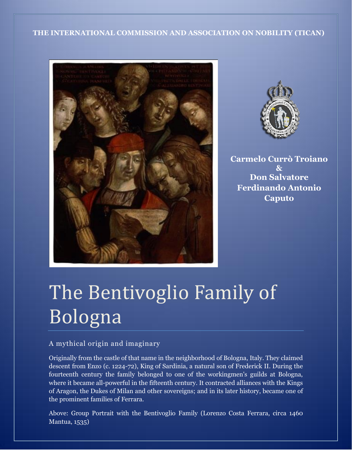### **THE INTERNATIONAL COMMISSION AND ASSOCIATION ON NOBILITY (TICAN)**





**Carmelo Currò Troiano & Don Salvatore Ferdinando Antonio Caputo**

# The Bentivoglio Family of Bologna

# A mythical origin and imaginary

Originally from the castle of that name in the neighborhood of Bologna, Italy. They claimed descent from Enzo (c. 1224-72), King of Sardinia, a natural son of Frederick II. During the fourteenth century the family belonged to one of the workingmen's guilds at Bologna, where it became all-powerful in the fifteenth century. It contracted alliances with the Kings of Aragon, the Dukes of Milan and other sovereigns; and in its later history, became one of the prominent families of Ferrara.

Above: Group Portrait with the Bentivoglio Family (Lorenzo Costa Ferrara, circa 1460 Mantua, 1535)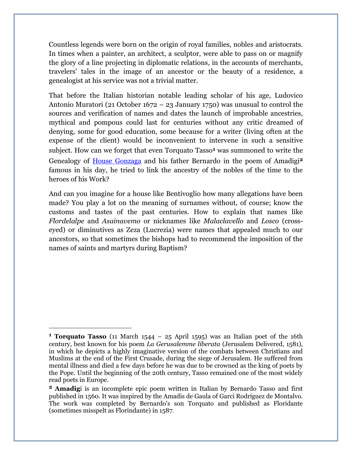Countless legends were born on the origin of royal families, nobles and aristocrats. In times when a painter, an architect, a sculptor, were able to pass on or magnify the glory of a line projecting in diplomatic relations, in the accounts of merchants, travelers' tales in the image of an ancestor or the beauty of a residence, a genealogist at his service was not a trivial matter.

That before the Italian historian notable leading scholar of his age, Ludovico Antonio Muratori (21 October 1672 – 23 January 1750) was unusual to control the sources and verification of names and dates the launch of improbable ancestries, mythical and pompous could last for centuries without any critic dreamed of denying, some for good education, some because for a writer (living often at the expense of the client) would be inconvenient to intervene in such a sensitive subject. How can we forget that even Torquato Tasso**<sup>1</sup>** was summoned to write the Genealogy of House [Gonzaga](http://en.wikipedia.org/wiki/House_of_Gonzaga) and his father Bernardo in the poem of Amadigi**<sup>2</sup>** famous in his day, he tried to link the ancestry of the nobles of the time to the heroes of his Work?

And can you imagine for a house like Bentivoglio how many allegations have been made? You play a lot on the meaning of surnames without, of course; know the customs and tastes of the past centuries. How to explain that names like *Flordelalpe* and *Asainavemo* or nicknames like *Malaclavello* and *Losco* (crosseyed) or diminutives as Zeza (Lucrezia) were names that appealed much to our ancestors, so that sometimes the bishops had to recommend the imposition of the names of saints and martyrs during Baptism?

 $\overline{a}$ 

**<sup>1</sup> Torquato Tasso** (11 March 1544 – 25 April 1595) was an Italian poet of the 16th century, best known for his poem *La Gerusalemme liberata* (Jerusalem Delivered, 1581), in which he depicts a highly imaginative version of the combats between Christians and Muslims at the end of the First Crusade, during the siege of Jerusalem. He suffered from mental illness and died a few days before he was due to be crowned as the king of poets by the Pope. Until the beginning of the 20th century, Tasso remained one of the most widely read poets in Europe.

**<sup>2</sup> Amadig**i is an incomplete epic poem written in Italian by Bernardo Tasso and first published in 1560. It was inspired by the Amadis de Gaula of Garci Rodríguez de Montalvo. The work was completed by Bernardo's son Torquato and published as Floridante (sometimes misspelt as Florindante) in 1587.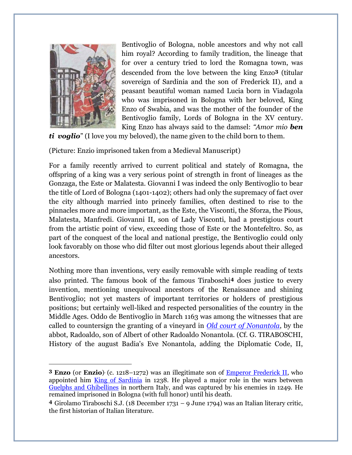

 $\overline{a}$ 

Bentivoglio of Bologna, noble ancestors and why not call him royal? According to family tradition, the lineage that for over a century tried to lord the Romagna town, was descended from the love between the king Enzo**<sup>3</sup>** (titular sovereign of Sardinia and the son of Frederick II), and a peasant beautiful woman named Lucia born in Viadagola who was imprisoned in Bologna with her beloved, King Enzo of Swabia, and was the mother of the founder of the Bentivoglio family, Lords of Bologna in the XV century. King Enzo has always said to the damsel: *"Amor mio ben* 

*ti voglio*" (I love you my beloved), the name given to the child born to them.

(Picture: Enzio imprisoned taken from a Medieval Manuscript)

For a family recently arrived to current political and stately of Romagna, the offspring of a king was a very serious point of strength in front of lineages as the Gonzaga, the Este or Malatesta. Giovanni I was indeed the only Bentivoglio to bear the title of Lord of Bologna (1401-1402); others had only the supremacy of fact over the city although married into princely families, often destined to rise to the pinnacles more and more important, as the Este, the Visconti, the Sforza, the Pious, Malatesta, Manfredi. Giovanni II, son of Lady Visconti, had a prestigious court from the artistic point of view, exceeding those of Este or the Montefeltro. So, as part of the conquest of the local and national prestige, the Bentivoglio could only look favorably on those who did filter out most glorious legends about their alleged ancestors.

Nothing more than inventions, very easily removable with simple reading of texts also printed. The famous book of the famous Tiraboschi**<sup>4</sup>** does justice to every invention, mentioning unequivocal ancestors of the Renaissance and shining Bentivoglio; not yet masters of important territories or holders of prestigious positions; but certainly well-liked and respected personalities of the country in the Middle Ages. Oddo de Bentivoglio in March 1163 was among the witnesses that are called to countersign the granting of a vineyard in *Old court [of Nonantola](http://en.wikipedia.org/wiki/Nonantola)*, by the abbot, Radoaldo, son of Albert of other Radoaldo Nonantola. (Cf. G. TIRABOSCHI, History of the august Badia's Eve Nonantola, adding the Diplomatic Code, II,

**<sup>3</sup> Enzo** (or **Enzio**) (c. 1218–1272) was an illegitimate son of **Emperor Frederick II**, who appointed him [King of Sardinia](http://en.wikipedia.org/wiki/King_of_Sardinia) in 1238. He played a major role in the wars between [Guelphs and Ghibellines](http://en.wikipedia.org/wiki/Guelphs_and_Ghibellines) in northern Italy, and was captured by his enemies in 1249. He remained imprisoned in Bologna (with full honor) until his death.

**<sup>4</sup>** Girolamo Tiraboschi S.J. (18 December 1731 – 9 June 1794) was an Italian literary critic, the first historian of Italian literature.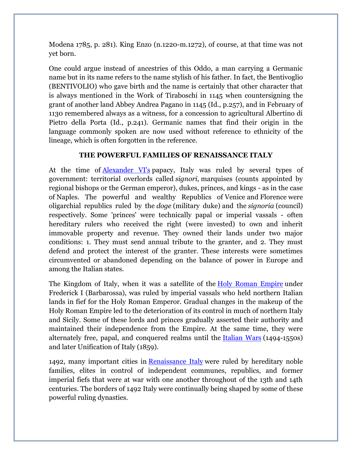Modena 1785, p. 281). King Enzo (n.1220-m.1272), of course, at that time was not yet born.

One could argue instead of ancestries of this Oddo, a man carrying a Germanic name but in its name refers to the name stylish of his father. In fact, the Bentivoglio (BENTIVOLIO) who gave birth and the name is certainly that other character that is always mentioned in the Work of Tiraboschi in 1145 when countersigning the grant of another land Abbey Andrea Pagano in 1145 (Id., p.257), and in February of 1130 remembered always as a witness, for a concession to agricultural Albertino di Pietro della Porta (Id., p.241). Germanic names that find their origin in the language commonly spoken are now used without reference to ethnicity of the lineage, which is often forgotten in the reference.

#### **THE POWERFUL FAMILIES OF RENAISSANCE ITALY**

At the time of **[Alexander VI's](http://theborgias.wikifoundry.com/page/Pope+Alexander+VI)** papacy, Italy was ruled by several types of government: territorial overlords called *signori,* marquises (counts appointed by regional bishops or the German emperor), dukes, princes, and kings - as in the case of Naples. The powerful and wealthy Republics of Venice and Florence were oligarchial republics ruled by the *doge* (military duke) and the *signoria* (council) respectively. Some 'princes' were technically papal or imperial vassals - often hereditary rulers who received the right (were invested) to own and inherit immovable property and revenue. They owned their lands under two major conditions: 1. They must send annual tribute to the granter, and 2. They must defend and protect the interest of the granter. These interests were sometimes circumvented or abandoned depending on the balance of power in Europe and among the Italian states.

The Kingdom of Italy, when it was a satellite of the [Holy Roman Empire](http://theborgias.wikifoundry.com/page/Holy+Roman+Empire) under Frederick I (Barbarossa), was ruled by imperial vassals who held northern Italian lands in fief for the Holy Roman Emperor. Gradual changes in the makeup of the Holy Roman Empire led to the deterioration of its control in much of northern Italy and Sicily. Some of these lords and princes gradually asserted their authority and maintained their independence from the Empire. At the same time, they were alternately free, papal, and conquered realms until the [Italian Wars](http://theborgias.wikifoundry.com/page/The+Italian+Wars) (1494-1550s) and later Unification of Italy (1859).

1492, many important cities in [Renaissance Italy](http://theborgias.wikifoundry.com/page/Renaissance+Italy) were ruled by hereditary noble families, elites in control of independent communes, republics, and former imperial fiefs that were at war with one another throughout of the 13th and 14th centuries. The borders of 1492 Italy were continually being shaped by some of these powerful ruling dynasties.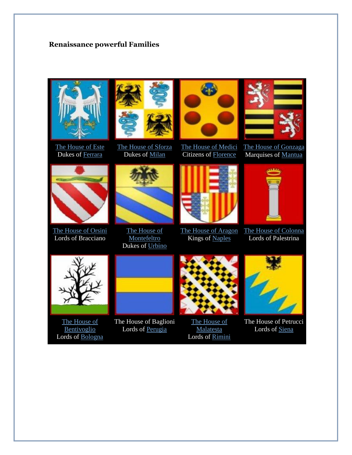## **Renaissance powerful Families**



The House of Este Dukes of [Ferrara](http://theborgias.wikifoundry.com/page/ferrara)



The House of Sforza Dukes of [Milan](http://theborgias.wikifoundry.com/page/milan)



The House of Medici Citizens of [Florence](http://theborgias.wikifoundry.com/page/florence)



The House of Gonzaga Marquises of [Mantua](http://theborgias.wikifoundry.com/page/mantua)



The House of Orsini Lords of Bracciano



The House of **Montefeltro** Dukes of [Urbino](http://theborgias.wikifoundry.com/page/urbino)



The House of Aragon The House of Colonna Kings of [Naples](http://theborgias.wikifoundry.com/page/naples)



Lords of Palestrina



The House of Bentivoglio Lords of [Bologna](http://theborgias.wikifoundry.com/page/bologna)



The House of Baglioni Lords of [Perugia](http://en.wikipedia.org/wiki/Perugia)



The House of **Malatesta** Lords of [Rimini](http://en.wikipedia.org/wiki/Rimini)



The House of Petrucci Lords of [Siena](http://theborgias.wikifoundry.com/page/Siena)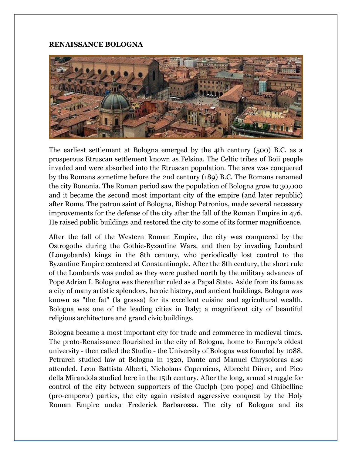#### **RENAISSANCE BOLOGNA**



The earliest settlement at Bologna emerged by the 4th century (500) B.C. as a prosperous Etruscan settlement known as Felsina. The Celtic tribes of Boii people invaded and were absorbed into the Etruscan population. The area was conquered by the Romans sometime before the 2nd century (189) B.C. The Romans renamed the city Bononia. The Roman period saw the population of Bologna grow to 30,000 and it became the second most important city of the empire (and later republic) after Rome. The patron saint of Bologna, Bishop Petronius, made several necessary improvements for the defense of the city after the fall of the Roman Empire in 476. He raised public buildings and restored the city to some of its former magnificence.

After the fall of the Western Roman Empire, the city was conquered by the Ostrogoths during the Gothic-Byzantine Wars, and then by invading Lombard (Longobards) kings in the 8th century, who periodically lost control to the Byzantine Empire centered at Constantinople. After the 8th century, the short rule of the Lombards was ended as they were pushed north by the military advances of Pope Adrian I. Bologna was thereafter ruled as a Papal State. Aside from its fame as a city of many artistic splendors, heroic history, and ancient buildings, Bologna was known as "the fat" (la grassa) for its excellent cuisine and agricultural wealth. Bologna was one of the leading cities in Italy; a magnificent city of beautiful religious architecture and grand civic buildings.

Bologna became a most important city for trade and commerce in medieval times. The proto-Renaissance flourished in the city of Bologna, home to Europe's oldest university - then called the Studio - the University of Bologna was founded by 1088. Petrarch studied law at Bologna in 1320, Dante and Manuel Chrysoloras also attended. Leon Battista Alberti, Nicholaus Copernicus, Albrecht Dürer, and Pico della Mirandola studied here in the 15th century. After the long, armed struggle for control of the city between supporters of the Guelph (pro-pope) and Ghibelline (pro-emperor) parties, the city again resisted aggressive conquest by the Holy Roman Empire under Frederick Barbarossa. The city of Bologna and its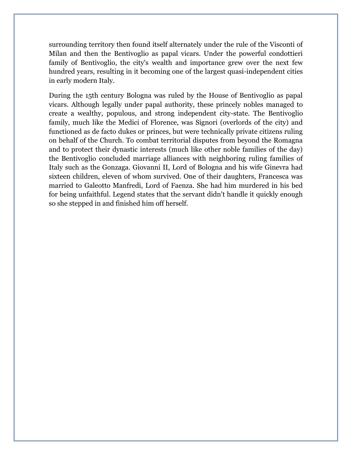surrounding territory then found itself alternately under the rule of the Visconti of Milan and then the Bentivoglio as papal vicars. Under the powerful condottieri family of Bentivoglio, the city's wealth and importance grew over the next few hundred years, resulting in it becoming one of the largest quasi-independent cities in early modern Italy.

During the 15th century Bologna was ruled by the House of Bentivoglio as papal vicars. Although legally under papal authority, these princely nobles managed to create a wealthy, populous, and strong independent city-state. The Bentivoglio family, much like the Medici of Florence, was Signori (overlords of the city) and functioned as de facto dukes or princes, but were technically private citizens ruling on behalf of the Church. To combat territorial disputes from beyond the Romagna and to protect their dynastic interests (much like other noble families of the day) the Bentivoglio concluded marriage alliances with neighboring ruling families of Italy such as the Gonzaga. Giovanni II, Lord of Bologna and his wife Ginevra had sixteen children, eleven of whom survived. One of their daughters, Francesca was married to Galeotto Manfredi, Lord of Faenza. She had him murdered in his bed for being unfaithful. Legend states that the servant didn't handle it quickly enough so she stepped in and finished him off herself.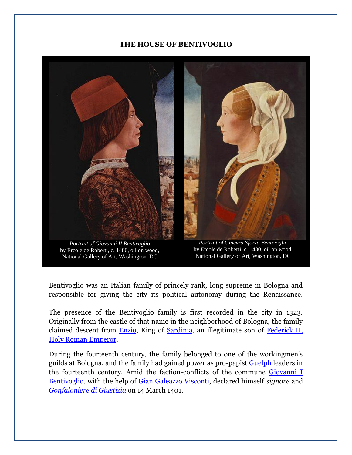#### **THE HOUSE OF BENTIVOGLIO**



by Ercole de Roberti, c. 1480, oil on wood, National Gallery of Art, Washington, DC

*Portrait of Ginevra Sforza Bentivoglio* by Ercole de Roberti, c. 1480, oil on wood, National Gallery of Art, Washington, DC

Bentivoglio was an Italian family of princely rank, long supreme in Bologna and responsible for giving the city its political autonomy during the Renaissance.

The presence of the Bentivoglio family is first recorded in the city in 1323. Originally from the castle of that name in the neighborhood of Bologna, the family claimed descent from [Enzio,](http://www.thefullwiki.org/Enzio_of_Sardinia) King of [Sardinia,](http://www.thefullwiki.org/Sardinia) an illegitimate son of [Federick II,](http://www.thefullwiki.org/Frederick_II,_Holy_Roman_Emperor)  [Holy Roman Emperor.](http://www.thefullwiki.org/Frederick_II,_Holy_Roman_Emperor)

During the fourteenth century, the family belonged to one of the workingmen's guilds at Bologna, and the family had gained power as pro-papist [Guelph](http://www.thefullwiki.org/Guelphs_and_Ghibellines) leaders in the fourteenth century. Amid the faction-conflicts of the commune [Giovanni I](http://en.wikipedia.org/wiki/Giovanni_I_Bentivoglio)  [Bentivoglio,](http://en.wikipedia.org/wiki/Giovanni_I_Bentivoglio) with the help of [Gian Galeazzo Visconti,](http://www.thefullwiki.org/Gian_Galeazzo_Visconti) declared himself *signore* and *[Gonfaloniere di Giustizia](http://www.thefullwiki.org/Gonfaloniere)* on 14 March 1401.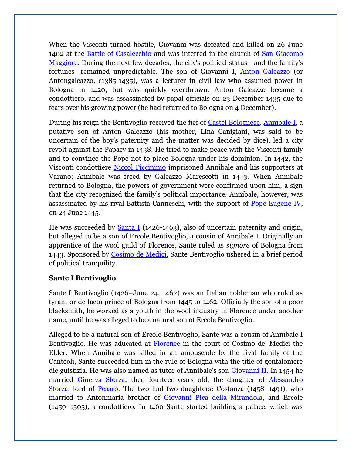When the Visconti turned hostile, Giovanni was defeated and killed on 26 June 1402 at the **Battle of Casalecchio** and was interred in the church of San Giacomo [Maggiore.](http://it.wikipedia.org/wiki/Giacomo_il_Maggiore) During the next few decades, the city's political status - and the family's fortunes- remained unpredictable. The son of Giovanni I, [Anton Galeazzo](http://www.thefullwiki.org/Antongaleazzo_Bentivoglio) (or Antongaleazzo, c1385-1435), was a lecturer in civil law who assumed power in Bologna in 1420, but was quickly overthrown. Anton Galeazzo became a condottiero, and was assassinated by papal officials on 23 December 1435 due to fears over his growing power (he had returned to Bologna on 4 December).

During his reign the Bentivoglio received the fief of [Castel Bolognese.](http://www.thefullwiki.org/Castel_Bolognese) [Annibale I,](http://en.wikipedia.org/wiki/Annibale_I_Bentivoglio) a putative son of Anton Galeazzo (his mother, Lina Canigiani, was said to be uncertain of the boy's paternity and the matter was decided by dice), led a city revolt against the Papacy in 1438. He tried to make peace with the Visconti family and to convince the Pope not to place Bologna under his dominion. In 1442, the Visconti condottiere [Niccol Piccinimo](http://www.thefullwiki.org/Niccol%C3%B2_Piccinino) imprisoned Annibale and his supporters at Varano; Annibale was freed by Galeazzo Marescotti in 1443. When Annibale returned to Bologna, the powers of government were confirmed upon him, a sign that the city recognized the family's political importance. Annibale, however, was assassinated by his rival Battista Canneschi, with the support of [Pope Eugene IV,](http://www.thefullwiki.org/Pope_Eugene_IV) on 24 June 1445.

He was succeeded by **Santa I** (1426-1463), also of uncertain paternity and origin, but alleged to be a son of Ercole Bentivoglio, a cousin of Annibale I. Originally an apprentice of the wool guild of Florence, Sante ruled as *signore* of Bologna from 1443. Sponsored by [Cosimo de Medici,](http://theborgias.wikifoundry.com/page/The+House+of+Medici) Sante Bentivoglio ushered in a brief period of political tranquility.

# **Sante I Bentivoglio**

Sante I Bentivoglio (1426–June 24, 1462) was an Italian nobleman who ruled as tyrant or de facto prince of Bologna from 1445 to 1462. Officially the son of a poor blacksmith, he worked as a youth in the wool industry in Florence under another name, until he was alleged to be a natural son of Ercole Bentivoglio.

Alleged to be a natural son of Ercole Bentivoglio, Sante was a cousin of Annibale I Bentivoglio. He was aducated at [Florence](http://theborgias.wikifoundry.com/page/Florence) in the court of Cosimo de' Medici the Elder. When Annibale was killed in an ambuscade by the rival family of the Canteoli, Sante succeeded him in the rule of Bologna with the title of gonfaloniere die guistizia. He was also named as tutor of Annibale's son [Giovanni II.](http://en.wikipedia.org/wiki/Giovanni_II_Bentivoglio) In 1454 he married [Ginerva Sforza,](http://theborgias.wikifoundry.com/page/The+House+of+Sforza) then fourteen-years old, the daughter of [Alessandro](http://theborgias.wikifoundry.com/page/The+House+of+Sforza)  [Sforza,](http://theborgias.wikifoundry.com/page/The+House+of+Sforza) lord of [Pesaro.](http://en.wikipedia.org/wiki/Pesaro) The two had two daughters: Costanza (1458–1491), who married to Antonmaria brother of [Giovanni Pica della Mirandola,](http://en.wikipedia.org/wiki/Pico_della_Mirandola) and Ercole (1459–1505), a condottiero. In 1460 Sante started building a palace, which was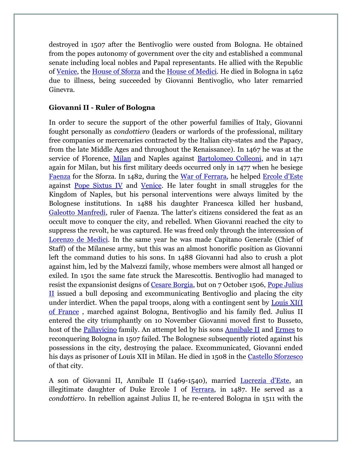destroyed in 1507 after the Bentivoglio were ousted from Bologna. He obtained from the popes autonomy of government over the city and established a communal senate including local nobles and Papal representants. He allied with the Republic of [Venice,](http://theborgias.wikifoundry.com/page/Venice) the [House of Sforza](http://theborgias.wikifoundry.com/page/The+House+of+Sforza) and the [House of Medici.](http://theborgias.wikifoundry.com/page/The+House+of+Medici) He died in Bologna in 1462 due to illness, being succeeded by Giovanni Bentivoglio, who later remarried Ginevra.

## **Giovanni II - Ruler of Bologna**

In order to secure the support of the other powerful families of Italy, Giovanni fought personally as *condottiero* (leaders or warlords of the professional, military free companies or mercenaries contracted by the Italian city-states and the Papacy, from the late Middle Ages and throughout the Renaissance). In 1467 he was at the service of Florence, [Milan](http://theborgias.wikifoundry.com/page/Milan) and Naples against [Bartolomeo Colleoni,](http://www.thefullwiki.org/Bartolomeo_Colleoni) and in 1471 again for Milan, but his first military deeds occurred only in 1477 when he besiege [Faenza](http://www.thefullwiki.org/Faenza) for the Sforza. In 1482, during the [War of Ferrara,](http://theborgias.wikifoundry.com/page/The+Italian+Wars) he helped [Ercole d'Este](http://theborgias.wikifoundry.com/page/The+House+of+Este) against **[Pope Sixtus IV](http://theborgias.wikifoundry.com/page/Pope+Sixtus+IV)** and [Venice.](http://theborgias.wikifoundry.com/page/Venice) He later fought in small struggles for the Kingdom of Naples, but his personal interventions were always limited by the Bolognese institutions. In 1488 his daughter Francesca killed her husband, [Galeotto Manfredi,](http://www.thefullwiki.org/Galeotto_Manfredi) ruler of Faenza. The latter's citizens considered the feat as an occult move to conquer the city, and rebelled. When Giovanni reached the city to suppress the revolt, he was captured. He was freed only through the intercession of [Lorenzo de Medici.](http://theborgias.wikifoundry.com/page/The+House+of+Medici) In the same year he was made Capitano Generale (Chief of Staff) of the Milanese army, but this was an almost honorific position as Giovanni left the command duties to his sons. In 1488 Giovanni had also to crush a plot against him, led by the Malvezzi family, whose members were almost all hanged or exiled. In 1501 the same fate struck the Marescottis. Bentivoglio had managed to resist the expansionist designs of [Cesare Borgia,](http://theborgias.wikifoundry.com/page/Cesare+Borgia+Historical+Profile) but on 7 October 1506, [Pope Julius](http://theborgias.wikifoundry.com/page/Pope+Julius+II)  [II](http://theborgias.wikifoundry.com/page/Pope+Julius+II) issued a bull deposing and excommunicating Bentivoglio and placing the city under interdict. When the papal troops, along with a contingent sent by [Louis XI\(I](http://www.thefullwiki.org/Louis_XII_of_France)  [of France](http://www.thefullwiki.org/Louis_XII_of_France) , marched against Bologna, Bentivoglio and his family fled. Julius II entered the city triumphantly on 10 November Giovanni moved first to Busseto, host of the [Pallavicino](http://www.thefullwiki.org/Pallavicino) family. An attempt led by his sons [Annibale II](http://www.thefullwiki.org/Annibale_II_Bentivoglio) and [Ermes](http://www.thefullwiki.org/Ermes_Bentivoglio) to reconquering Bologna in 1507 failed. The Bolognese subsequently rioted against his possessions in the city, destroying the palace. Excommunicated, Giovanni ended his days as prisoner of Louis XII in Milan. He died in 1508 in the [Castello Sforzesco](http://www.thefullwiki.org/Castello_Sforzesco) of that city.

A son of Giovanni II, Annibale II (1469-1540), married [Lucrezia d'Este,](http://theborgias.wikifoundry.com/page/The+House+of+Este) an illegitimate daughter of Duke Ercole I of [Ferrara,](http://theborgias.wikifoundry.com/page/Ferrara) in 1487. He served as a *condottiero*. In rebellion against Julius II, he re-entered Bologna in 1511 with the